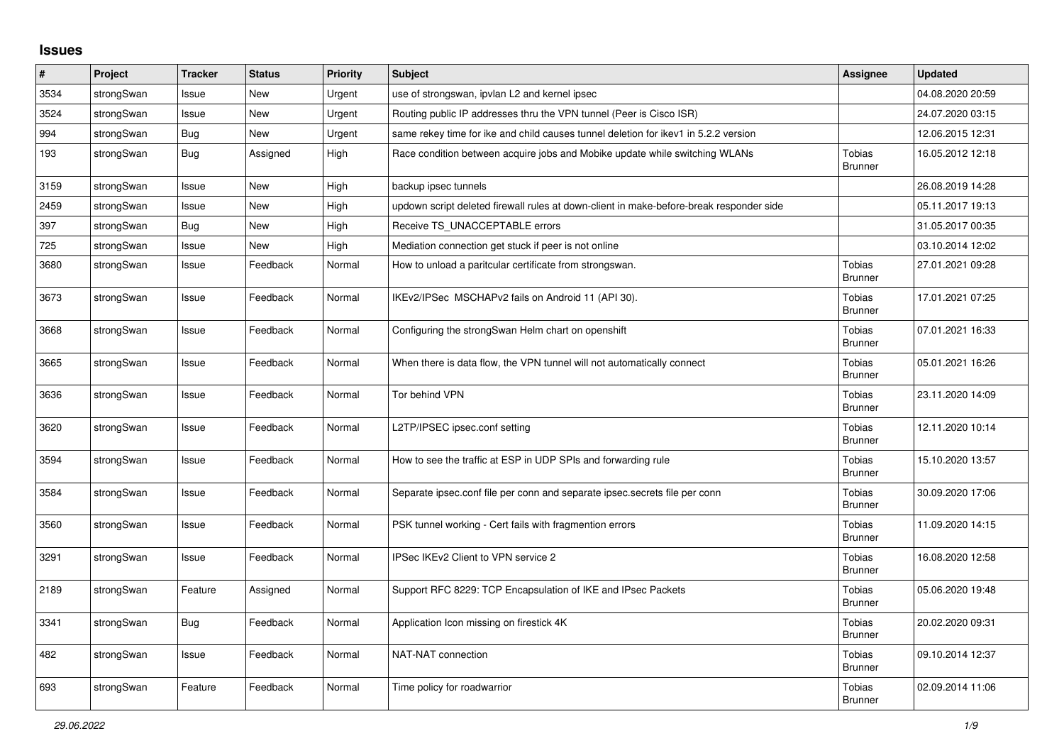## **Issues**

| $\#$ | Project    | <b>Tracker</b> | <b>Status</b> | <b>Priority</b> | <b>Subject</b>                                                                          | <b>Assignee</b>                 | <b>Updated</b>   |
|------|------------|----------------|---------------|-----------------|-----------------------------------------------------------------------------------------|---------------------------------|------------------|
| 3534 | strongSwan | Issue          | <b>New</b>    | Urgent          | use of strongswan, ipvlan L2 and kernel ipsec                                           |                                 | 04.08.2020 20:59 |
| 3524 | strongSwan | Issue          | <b>New</b>    | Urgent          | Routing public IP addresses thru the VPN tunnel (Peer is Cisco ISR)                     |                                 | 24.07.2020 03:15 |
| 994  | strongSwan | Bug            | <b>New</b>    | Urgent          | same rekey time for ike and child causes tunnel deletion for ikev1 in 5.2.2 version     |                                 | 12.06.2015 12:31 |
| 193  | strongSwan | Bug            | Assigned      | High            | Race condition between acquire jobs and Mobike update while switching WLANs             | <b>Tobias</b><br><b>Brunner</b> | 16.05.2012 12:18 |
| 3159 | strongSwan | Issue          | <b>New</b>    | High            | backup ipsec tunnels                                                                    |                                 | 26.08.2019 14:28 |
| 2459 | strongSwan | Issue          | <b>New</b>    | High            | updown script deleted firewall rules at down-client in make-before-break responder side |                                 | 05.11.2017 19:13 |
| 397  | strongSwan | Bug            | <b>New</b>    | High            | Receive TS_UNACCEPTABLE errors                                                          |                                 | 31.05.2017 00:35 |
| 725  | strongSwan | Issue          | <b>New</b>    | High            | Mediation connection get stuck if peer is not online                                    |                                 | 03.10.2014 12:02 |
| 3680 | strongSwan | Issue          | Feedback      | Normal          | How to unload a paritcular certificate from strongswan.                                 | <b>Tobias</b><br><b>Brunner</b> | 27.01.2021 09:28 |
| 3673 | strongSwan | Issue          | Feedback      | Normal          | IKEv2/IPSec MSCHAPv2 fails on Android 11 (API 30).                                      | <b>Tobias</b><br><b>Brunner</b> | 17.01.2021 07:25 |
| 3668 | strongSwan | Issue          | Feedback      | Normal          | Configuring the strongSwan Helm chart on openshift                                      | Tobias<br><b>Brunner</b>        | 07.01.2021 16:33 |
| 3665 | strongSwan | Issue          | Feedback      | Normal          | When there is data flow, the VPN tunnel will not automatically connect                  | <b>Tobias</b><br><b>Brunner</b> | 05.01.2021 16:26 |
| 3636 | strongSwan | Issue          | Feedback      | Normal          | Tor behind VPN                                                                          | Tobias<br><b>Brunner</b>        | 23.11.2020 14:09 |
| 3620 | strongSwan | Issue          | Feedback      | Normal          | L2TP/IPSEC ipsec.conf setting                                                           | Tobias<br><b>Brunner</b>        | 12.11.2020 10:14 |
| 3594 | strongSwan | Issue          | Feedback      | Normal          | How to see the traffic at ESP in UDP SPIs and forwarding rule                           | Tobias<br>Brunner               | 15.10.2020 13:57 |
| 3584 | strongSwan | Issue          | Feedback      | Normal          | Separate ipsec.conf file per conn and separate ipsec.secrets file per conn              | Tobias<br><b>Brunner</b>        | 30.09.2020 17:06 |
| 3560 | strongSwan | Issue          | Feedback      | Normal          | PSK tunnel working - Cert fails with fragmention errors                                 | <b>Tobias</b><br><b>Brunner</b> | 11.09.2020 14:15 |
| 3291 | strongSwan | Issue          | Feedback      | Normal          | IPSec IKEv2 Client to VPN service 2                                                     | Tobias<br><b>Brunner</b>        | 16.08.2020 12:58 |
| 2189 | strongSwan | Feature        | Assigned      | Normal          | Support RFC 8229: TCP Encapsulation of IKE and IPsec Packets                            | Tobias<br><b>Brunner</b>        | 05.06.2020 19:48 |
| 3341 | strongSwan | Bug            | Feedback      | Normal          | Application Icon missing on firestick 4K                                                | Tobias<br><b>Brunner</b>        | 20.02.2020 09:31 |
| 482  | strongSwan | Issue          | Feedback      | Normal          | NAT-NAT connection                                                                      | Tobias<br><b>Brunner</b>        | 09.10.2014 12:37 |
| 693  | strongSwan | Feature        | Feedback      | Normal          | Time policy for roadwarrior                                                             | <b>Tobias</b><br><b>Brunner</b> | 02.09.2014 11:06 |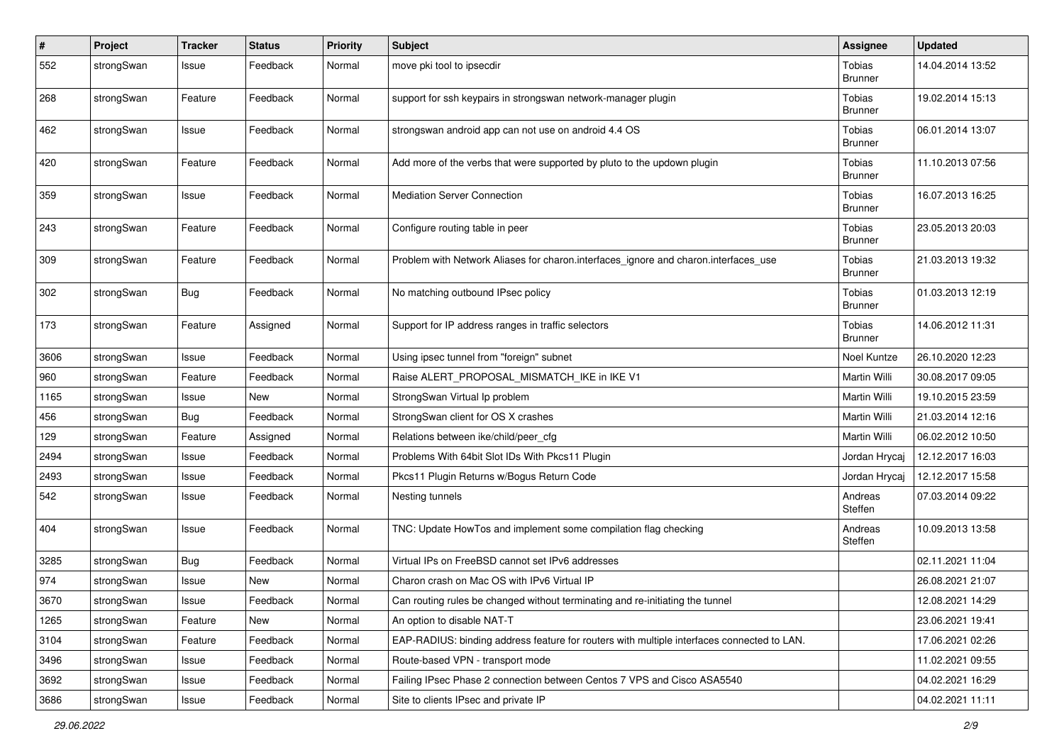| $\pmb{\#}$ | Project    | <b>Tracker</b> | <b>Status</b> | <b>Priority</b> | Subject                                                                                    | <b>Assignee</b>                 | <b>Updated</b>   |
|------------|------------|----------------|---------------|-----------------|--------------------------------------------------------------------------------------------|---------------------------------|------------------|
| 552        | strongSwan | Issue          | Feedback      | Normal          | move pki tool to ipsecdir                                                                  | Tobias<br><b>Brunner</b>        | 14.04.2014 13:52 |
| 268        | strongSwan | Feature        | Feedback      | Normal          | support for ssh keypairs in strongswan network-manager plugin                              | Tobias<br><b>Brunner</b>        | 19.02.2014 15:13 |
| 462        | strongSwan | Issue          | Feedback      | Normal          | strongswan android app can not use on android 4.4 OS                                       | Tobias<br><b>Brunner</b>        | 06.01.2014 13:07 |
| 420        | strongSwan | Feature        | Feedback      | Normal          | Add more of the verbs that were supported by pluto to the updown plugin                    | Tobias<br><b>Brunner</b>        | 11.10.2013 07:56 |
| 359        | strongSwan | Issue          | Feedback      | Normal          | <b>Mediation Server Connection</b>                                                         | Tobias<br>Brunner               | 16.07.2013 16:25 |
| 243        | strongSwan | Feature        | Feedback      | Normal          | Configure routing table in peer                                                            | Tobias<br><b>Brunner</b>        | 23.05.2013 20:03 |
| 309        | strongSwan | Feature        | Feedback      | Normal          | Problem with Network Aliases for charon.interfaces_ignore and charon.interfaces_use        | <b>Tobias</b><br><b>Brunner</b> | 21.03.2013 19:32 |
| 302        | strongSwan | Bug            | Feedback      | Normal          | No matching outbound IPsec policy                                                          | Tobias<br><b>Brunner</b>        | 01.03.2013 12:19 |
| 173        | strongSwan | Feature        | Assigned      | Normal          | Support for IP address ranges in traffic selectors                                         | Tobias<br><b>Brunner</b>        | 14.06.2012 11:31 |
| 3606       | strongSwan | Issue          | Feedback      | Normal          | Using ipsec tunnel from "foreign" subnet                                                   | Noel Kuntze                     | 26.10.2020 12:23 |
| 960        | strongSwan | Feature        | Feedback      | Normal          | Raise ALERT_PROPOSAL_MISMATCH_IKE in IKE V1                                                | Martin Willi                    | 30.08.2017 09:05 |
| 1165       | strongSwan | Issue          | New           | Normal          | StrongSwan Virtual Ip problem                                                              | Martin Willi                    | 19.10.2015 23:59 |
| 456        | strongSwan | Bug            | Feedback      | Normal          | StrongSwan client for OS X crashes                                                         | Martin Willi                    | 21.03.2014 12:16 |
| 129        | strongSwan | Feature        | Assigned      | Normal          | Relations between ike/child/peer cfg                                                       | Martin Willi                    | 06.02.2012 10:50 |
| 2494       | strongSwan | Issue          | Feedback      | Normal          | Problems With 64bit Slot IDs With Pkcs11 Plugin                                            | Jordan Hrycaj                   | 12.12.2017 16:03 |
| 2493       | strongSwan | Issue          | Feedback      | Normal          | Pkcs11 Plugin Returns w/Bogus Return Code                                                  | Jordan Hrycai                   | 12.12.2017 15:58 |
| 542        | strongSwan | Issue          | Feedback      | Normal          | Nesting tunnels                                                                            | Andreas<br>Steffen              | 07.03.2014 09:22 |
| 404        | strongSwan | Issue          | Feedback      | Normal          | TNC: Update HowTos and implement some compilation flag checking                            | Andreas<br>Steffen              | 10.09.2013 13:58 |
| 3285       | strongSwan | Bug            | Feedback      | Normal          | Virtual IPs on FreeBSD cannot set IPv6 addresses                                           |                                 | 02.11.2021 11:04 |
| 974        | strongSwan | Issue          | New           | Normal          | Charon crash on Mac OS with IPv6 Virtual IP                                                |                                 | 26.08.2021 21:07 |
| 3670       | strongSwan | Issue          | Feedback      | Normal          | Can routing rules be changed without terminating and re-initiating the tunnel              |                                 | 12.08.2021 14:29 |
| 1265       | strongSwan | Feature        | New           | Normal          | An option to disable NAT-T                                                                 |                                 | 23.06.2021 19:41 |
| 3104       | strongSwan | Feature        | Feedback      | Normal          | EAP-RADIUS: binding address feature for routers with multiple interfaces connected to LAN. |                                 | 17.06.2021 02:26 |
| 3496       | strongSwan | Issue          | Feedback      | Normal          | Route-based VPN - transport mode                                                           |                                 | 11.02.2021 09:55 |
| 3692       | strongSwan | Issue          | Feedback      | Normal          | Failing IPsec Phase 2 connection between Centos 7 VPS and Cisco ASA5540                    |                                 | 04.02.2021 16:29 |
| 3686       | strongSwan | Issue          | Feedback      | Normal          | Site to clients IPsec and private IP                                                       |                                 | 04.02.2021 11:11 |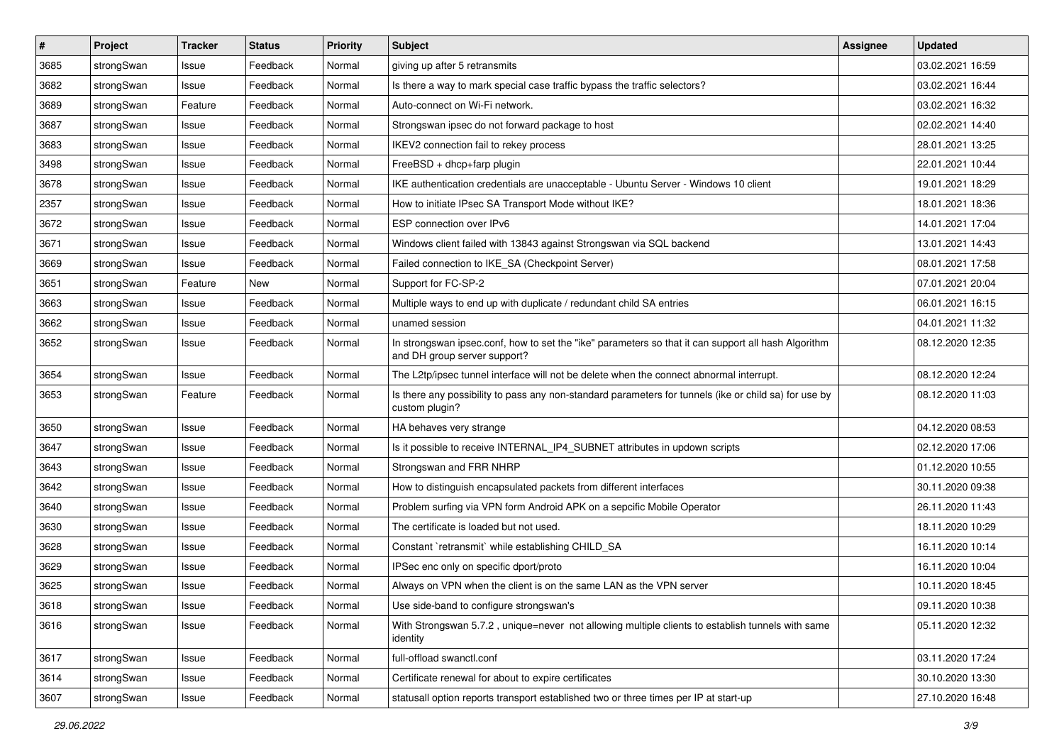| $\pmb{\#}$ | Project    | <b>Tracker</b> | <b>Status</b> | <b>Priority</b> | <b>Subject</b>                                                                                                                      | <b>Assignee</b> | <b>Updated</b>   |
|------------|------------|----------------|---------------|-----------------|-------------------------------------------------------------------------------------------------------------------------------------|-----------------|------------------|
| 3685       | strongSwan | Issue          | Feedback      | Normal          | giving up after 5 retransmits                                                                                                       |                 | 03.02.2021 16:59 |
| 3682       | strongSwan | Issue          | Feedback      | Normal          | Is there a way to mark special case traffic bypass the traffic selectors?                                                           |                 | 03.02.2021 16:44 |
| 3689       | strongSwan | Feature        | Feedback      | Normal          | Auto-connect on Wi-Fi network.                                                                                                      |                 | 03.02.2021 16:32 |
| 3687       | strongSwan | Issue          | Feedback      | Normal          | Strongswan ipsec do not forward package to host                                                                                     |                 | 02.02.2021 14:40 |
| 3683       | strongSwan | Issue          | Feedback      | Normal          | IKEV2 connection fail to rekey process                                                                                              |                 | 28.01.2021 13:25 |
| 3498       | strongSwan | Issue          | Feedback      | Normal          | FreeBSD + dhcp+farp plugin                                                                                                          |                 | 22.01.2021 10:44 |
| 3678       | strongSwan | Issue          | Feedback      | Normal          | IKE authentication credentials are unacceptable - Ubuntu Server - Windows 10 client                                                 |                 | 19.01.2021 18:29 |
| 2357       | strongSwan | Issue          | Feedback      | Normal          | How to initiate IPsec SA Transport Mode without IKE?                                                                                |                 | 18.01.2021 18:36 |
| 3672       | strongSwan | Issue          | Feedback      | Normal          | ESP connection over IPv6                                                                                                            |                 | 14.01.2021 17:04 |
| 3671       | strongSwan | Issue          | Feedback      | Normal          | Windows client failed with 13843 against Strongswan via SQL backend                                                                 |                 | 13.01.2021 14:43 |
| 3669       | strongSwan | Issue          | Feedback      | Normal          | Failed connection to IKE SA (Checkpoint Server)                                                                                     |                 | 08.01.2021 17:58 |
| 3651       | strongSwan | Feature        | New           | Normal          | Support for FC-SP-2                                                                                                                 |                 | 07.01.2021 20:04 |
| 3663       | strongSwan | Issue          | Feedback      | Normal          | Multiple ways to end up with duplicate / redundant child SA entries                                                                 |                 | 06.01.2021 16:15 |
| 3662       | strongSwan | Issue          | Feedback      | Normal          | unamed session                                                                                                                      |                 | 04.01.2021 11:32 |
| 3652       | strongSwan | Issue          | Feedback      | Normal          | In strongswan ipsec.conf, how to set the "ike" parameters so that it can support all hash Algorithm<br>and DH group server support? |                 | 08.12.2020 12:35 |
| 3654       | strongSwan | Issue          | Feedback      | Normal          | The L2tp/ipsec tunnel interface will not be delete when the connect abnormal interrupt.                                             |                 | 08.12.2020 12:24 |
| 3653       | strongSwan | Feature        | Feedback      | Normal          | Is there any possibility to pass any non-standard parameters for tunnels (ike or child sa) for use by<br>custom plugin?             |                 | 08.12.2020 11:03 |
| 3650       | strongSwan | Issue          | Feedback      | Normal          | HA behaves very strange                                                                                                             |                 | 04.12.2020 08:53 |
| 3647       | strongSwan | Issue          | Feedback      | Normal          | Is it possible to receive INTERNAL_IP4_SUBNET attributes in updown scripts                                                          |                 | 02.12.2020 17:06 |
| 3643       | strongSwan | Issue          | Feedback      | Normal          | Strongswan and FRR NHRP                                                                                                             |                 | 01.12.2020 10:55 |
| 3642       | strongSwan | Issue          | Feedback      | Normal          | How to distinguish encapsulated packets from different interfaces                                                                   |                 | 30.11.2020 09:38 |
| 3640       | strongSwan | Issue          | Feedback      | Normal          | Problem surfing via VPN form Android APK on a sepcific Mobile Operator                                                              |                 | 26.11.2020 11:43 |
| 3630       | strongSwan | Issue          | Feedback      | Normal          | The certificate is loaded but not used.                                                                                             |                 | 18.11.2020 10:29 |
| 3628       | strongSwan | Issue          | Feedback      | Normal          | Constant `retransmit` while establishing CHILD_SA                                                                                   |                 | 16.11.2020 10:14 |
| 3629       | strongSwan | Issue          | Feedback      | Normal          | IPSec enc only on specific dport/proto                                                                                              |                 | 16.11.2020 10:04 |
| 3625       | strongSwan | Issue          | Feedback      | Normal          | Always on VPN when the client is on the same LAN as the VPN server                                                                  |                 | 10.11.2020 18:45 |
| 3618       | strongSwan | Issue          | Feedback      | Normal          | Use side-band to configure strongswan's                                                                                             |                 | 09.11.2020 10:38 |
| 3616       | strongSwan | Issue          | Feedback      | Normal          | With Strongswan 5.7.2, unique=never not allowing multiple clients to establish tunnels with same<br>identity                        |                 | 05.11.2020 12:32 |
| 3617       | strongSwan | Issue          | Feedback      | Normal          | full-offload swanctl.conf                                                                                                           |                 | 03.11.2020 17:24 |
| 3614       | strongSwan | Issue          | Feedback      | Normal          | Certificate renewal for about to expire certificates                                                                                |                 | 30.10.2020 13:30 |
| 3607       | strongSwan | Issue          | Feedback      | Normal          | statusall option reports transport established two or three times per IP at start-up                                                |                 | 27.10.2020 16:48 |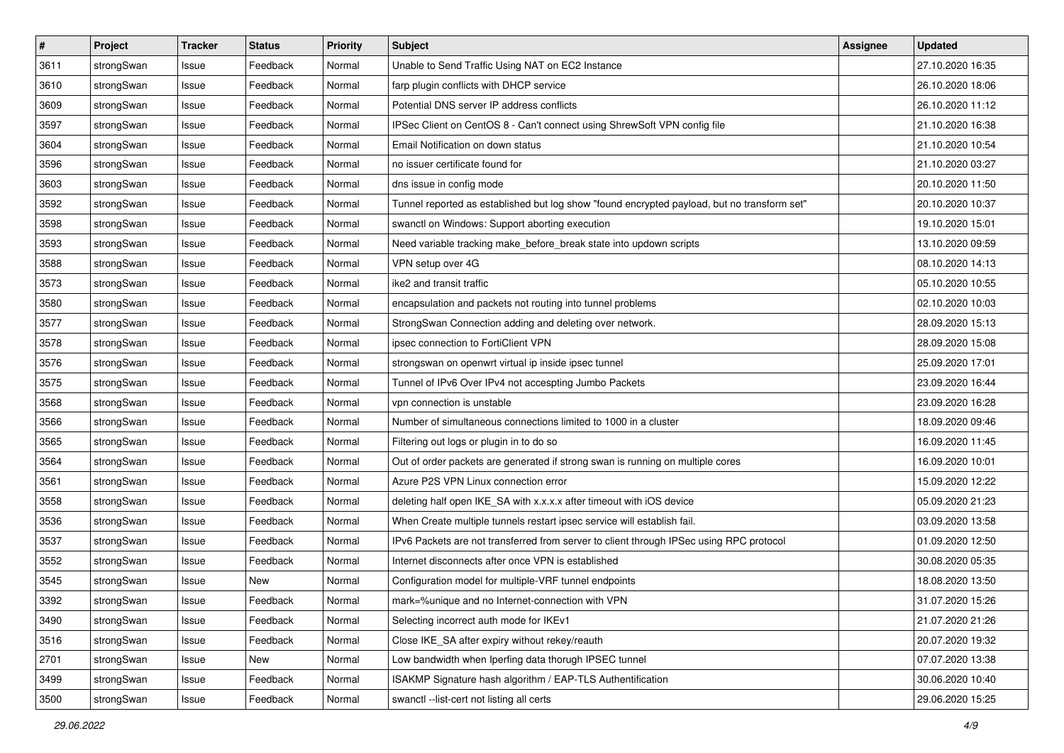| $\pmb{\#}$ | Project    | <b>Tracker</b> | <b>Status</b> | <b>Priority</b> | <b>Subject</b>                                                                              | Assignee | <b>Updated</b>   |
|------------|------------|----------------|---------------|-----------------|---------------------------------------------------------------------------------------------|----------|------------------|
| 3611       | strongSwan | Issue          | Feedback      | Normal          | Unable to Send Traffic Using NAT on EC2 Instance                                            |          | 27.10.2020 16:35 |
| 3610       | strongSwan | Issue          | Feedback      | Normal          | farp plugin conflicts with DHCP service                                                     |          | 26.10.2020 18:06 |
| 3609       | strongSwan | Issue          | Feedback      | Normal          | Potential DNS server IP address conflicts                                                   |          | 26.10.2020 11:12 |
| 3597       | strongSwan | Issue          | Feedback      | Normal          | IPSec Client on CentOS 8 - Can't connect using ShrewSoft VPN config file                    |          | 21.10.2020 16:38 |
| 3604       | strongSwan | Issue          | Feedback      | Normal          | Email Notification on down status                                                           |          | 21.10.2020 10:54 |
| 3596       | strongSwan | Issue          | Feedback      | Normal          | no issuer certificate found for                                                             |          | 21.10.2020 03:27 |
| 3603       | strongSwan | Issue          | Feedback      | Normal          | dns issue in config mode                                                                    |          | 20.10.2020 11:50 |
| 3592       | strongSwan | Issue          | Feedback      | Normal          | Tunnel reported as established but log show "found encrypted payload, but no transform set" |          | 20.10.2020 10:37 |
| 3598       | strongSwan | Issue          | Feedback      | Normal          | swanctl on Windows: Support aborting execution                                              |          | 19.10.2020 15:01 |
| 3593       | strongSwan | Issue          | Feedback      | Normal          | Need variable tracking make_before_break state into updown scripts                          |          | 13.10.2020 09:59 |
| 3588       | strongSwan | Issue          | Feedback      | Normal          | VPN setup over 4G                                                                           |          | 08.10.2020 14:13 |
| 3573       | strongSwan | Issue          | Feedback      | Normal          | ike2 and transit traffic                                                                    |          | 05.10.2020 10:55 |
| 3580       | strongSwan | Issue          | Feedback      | Normal          | encapsulation and packets not routing into tunnel problems                                  |          | 02.10.2020 10:03 |
| 3577       | strongSwan | lssue          | Feedback      | Normal          | StrongSwan Connection adding and deleting over network.                                     |          | 28.09.2020 15:13 |
| 3578       | strongSwan | Issue          | Feedback      | Normal          | ipsec connection to FortiClient VPN                                                         |          | 28.09.2020 15:08 |
| 3576       | strongSwan | Issue          | Feedback      | Normal          | strongswan on openwrt virtual ip inside ipsec tunnel                                        |          | 25.09.2020 17:01 |
| 3575       | strongSwan | lssue          | Feedback      | Normal          | Tunnel of IPv6 Over IPv4 not accespting Jumbo Packets                                       |          | 23.09.2020 16:44 |
| 3568       | strongSwan | Issue          | Feedback      | Normal          | vpn connection is unstable                                                                  |          | 23.09.2020 16:28 |
| 3566       | strongSwan | Issue          | Feedback      | Normal          | Number of simultaneous connections limited to 1000 in a cluster                             |          | 18.09.2020 09:46 |
| 3565       | strongSwan | Issue          | Feedback      | Normal          | Filtering out logs or plugin in to do so                                                    |          | 16.09.2020 11:45 |
| 3564       | strongSwan | Issue          | Feedback      | Normal          | Out of order packets are generated if strong swan is running on multiple cores              |          | 16.09.2020 10:01 |
| 3561       | strongSwan | Issue          | Feedback      | Normal          | Azure P2S VPN Linux connection error                                                        |          | 15.09.2020 12:22 |
| 3558       | strongSwan | Issue          | Feedback      | Normal          | deleting half open IKE_SA with x.x.x.x after timeout with iOS device                        |          | 05.09.2020 21:23 |
| 3536       | strongSwan | Issue          | Feedback      | Normal          | When Create multiple tunnels restart ipsec service will establish fail.                     |          | 03.09.2020 13:58 |
| 3537       | strongSwan | Issue          | Feedback      | Normal          | IPv6 Packets are not transferred from server to client through IPSec using RPC protocol     |          | 01.09.2020 12:50 |
| 3552       | strongSwan | Issue          | Feedback      | Normal          | Internet disconnects after once VPN is established                                          |          | 30.08.2020 05:35 |
| 3545       | strongSwan | Issue          | New           | Normal          | Configuration model for multiple-VRF tunnel endpoints                                       |          | 18.08.2020 13:50 |
| 3392       | strongSwan | Issue          | Feedback      | Normal          | mark=%unique and no Internet-connection with VPN                                            |          | 31.07.2020 15:26 |
| 3490       | strongSwan | Issue          | Feedback      | Normal          | Selecting incorrect auth mode for IKEv1                                                     |          | 21.07.2020 21:26 |
| 3516       | strongSwan | Issue          | Feedback      | Normal          | Close IKE SA after expiry without rekey/reauth                                              |          | 20.07.2020 19:32 |
| 2701       | strongSwan | Issue          | New           | Normal          | Low bandwidth when Iperfing data thorugh IPSEC tunnel                                       |          | 07.07.2020 13:38 |
| 3499       | strongSwan | Issue          | Feedback      | Normal          | ISAKMP Signature hash algorithm / EAP-TLS Authentification                                  |          | 30.06.2020 10:40 |
| 3500       | strongSwan | Issue          | Feedback      | Normal          | swanctl --list-cert not listing all certs                                                   |          | 29.06.2020 15:25 |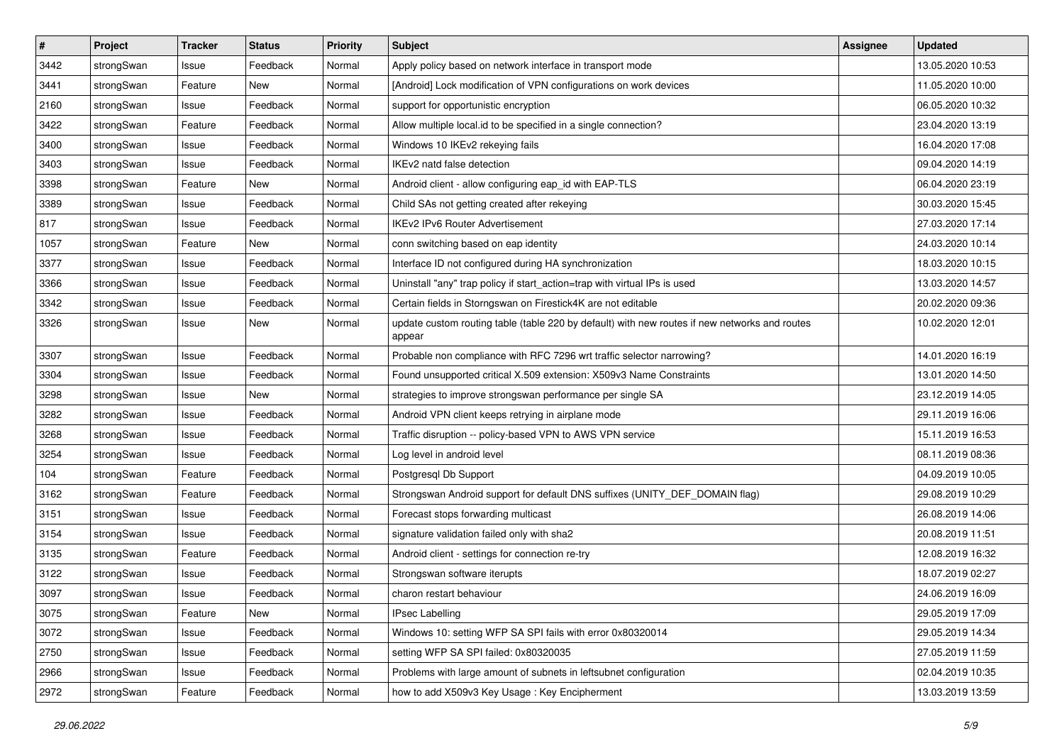| $\pmb{\#}$ | Project    | <b>Tracker</b> | <b>Status</b> | <b>Priority</b> | <b>Subject</b>                                                                                          | Assignee | <b>Updated</b>   |
|------------|------------|----------------|---------------|-----------------|---------------------------------------------------------------------------------------------------------|----------|------------------|
| 3442       | strongSwan | Issue          | Feedback      | Normal          | Apply policy based on network interface in transport mode                                               |          | 13.05.2020 10:53 |
| 3441       | strongSwan | Feature        | New           | Normal          | [Android] Lock modification of VPN configurations on work devices                                       |          | 11.05.2020 10:00 |
| 2160       | strongSwan | Issue          | Feedback      | Normal          | support for opportunistic encryption                                                                    |          | 06.05.2020 10:32 |
| 3422       | strongSwan | Feature        | Feedback      | Normal          | Allow multiple local.id to be specified in a single connection?                                         |          | 23.04.2020 13:19 |
| 3400       | strongSwan | Issue          | Feedback      | Normal          | Windows 10 IKEv2 rekeying fails                                                                         |          | 16.04.2020 17:08 |
| 3403       | strongSwan | Issue          | Feedback      | Normal          | IKEv2 natd false detection                                                                              |          | 09.04.2020 14:19 |
| 3398       | strongSwan | Feature        | New           | Normal          | Android client - allow configuring eap_id with EAP-TLS                                                  |          | 06.04.2020 23:19 |
| 3389       | strongSwan | Issue          | Feedback      | Normal          | Child SAs not getting created after rekeying                                                            |          | 30.03.2020 15:45 |
| 817        | strongSwan | Issue          | Feedback      | Normal          | IKEv2 IPv6 Router Advertisement                                                                         |          | 27.03.2020 17:14 |
| 1057       | strongSwan | Feature        | New           | Normal          | conn switching based on eap identity                                                                    |          | 24.03.2020 10:14 |
| 3377       | strongSwan | Issue          | Feedback      | Normal          | Interface ID not configured during HA synchronization                                                   |          | 18.03.2020 10:15 |
| 3366       | strongSwan | Issue          | Feedback      | Normal          | Uninstall "any" trap policy if start_action=trap with virtual IPs is used                               |          | 13.03.2020 14:57 |
| 3342       | strongSwan | Issue          | Feedback      | Normal          | Certain fields in Storngswan on Firestick4K are not editable                                            |          | 20.02.2020 09:36 |
| 3326       | strongSwan | Issue          | New           | Normal          | update custom routing table (table 220 by default) with new routes if new networks and routes<br>appear |          | 10.02.2020 12:01 |
| 3307       | strongSwan | Issue          | Feedback      | Normal          | Probable non compliance with RFC 7296 wrt traffic selector narrowing?                                   |          | 14.01.2020 16:19 |
| 3304       | strongSwan | Issue          | Feedback      | Normal          | Found unsupported critical X.509 extension: X509v3 Name Constraints                                     |          | 13.01.2020 14:50 |
| 3298       | strongSwan | Issue          | New           | Normal          | strategies to improve strongswan performance per single SA                                              |          | 23.12.2019 14:05 |
| 3282       | strongSwan | Issue          | Feedback      | Normal          | Android VPN client keeps retrying in airplane mode                                                      |          | 29.11.2019 16:06 |
| 3268       | strongSwan | Issue          | Feedback      | Normal          | Traffic disruption -- policy-based VPN to AWS VPN service                                               |          | 15.11.2019 16:53 |
| 3254       | strongSwan | Issue          | Feedback      | Normal          | Log level in android level                                                                              |          | 08.11.2019 08:36 |
| 104        | strongSwan | Feature        | Feedback      | Normal          | Postgresql Db Support                                                                                   |          | 04.09.2019 10:05 |
| 3162       | strongSwan | Feature        | Feedback      | Normal          | Strongswan Android support for default DNS suffixes (UNITY_DEF_DOMAIN flag)                             |          | 29.08.2019 10:29 |
| 3151       | strongSwan | Issue          | Feedback      | Normal          | Forecast stops forwarding multicast                                                                     |          | 26.08.2019 14:06 |
| 3154       | strongSwan | Issue          | Feedback      | Normal          | signature validation failed only with sha2                                                              |          | 20.08.2019 11:51 |
| 3135       | strongSwan | Feature        | Feedback      | Normal          | Android client - settings for connection re-try                                                         |          | 12.08.2019 16:32 |
| 3122       | strongSwan | Issue          | Feedback      | Normal          | Strongswan software iterupts                                                                            |          | 18.07.2019 02:27 |
| 3097       | strongSwan | Issue          | Feedback      | Normal          | charon restart behaviour                                                                                |          | 24.06.2019 16:09 |
| 3075       | strongSwan | Feature        | New           | Normal          | <b>IPsec Labelling</b>                                                                                  |          | 29.05.2019 17:09 |
| 3072       | strongSwan | Issue          | Feedback      | Normal          | Windows 10: setting WFP SA SPI fails with error 0x80320014                                              |          | 29.05.2019 14:34 |
| 2750       | strongSwan | Issue          | Feedback      | Normal          | setting WFP SA SPI failed: 0x80320035                                                                   |          | 27.05.2019 11:59 |
| 2966       | strongSwan | Issue          | Feedback      | Normal          | Problems with large amount of subnets in leftsubnet configuration                                       |          | 02.04.2019 10:35 |
| 2972       | strongSwan | Feature        | Feedback      | Normal          | how to add X509v3 Key Usage: Key Encipherment                                                           |          | 13.03.2019 13:59 |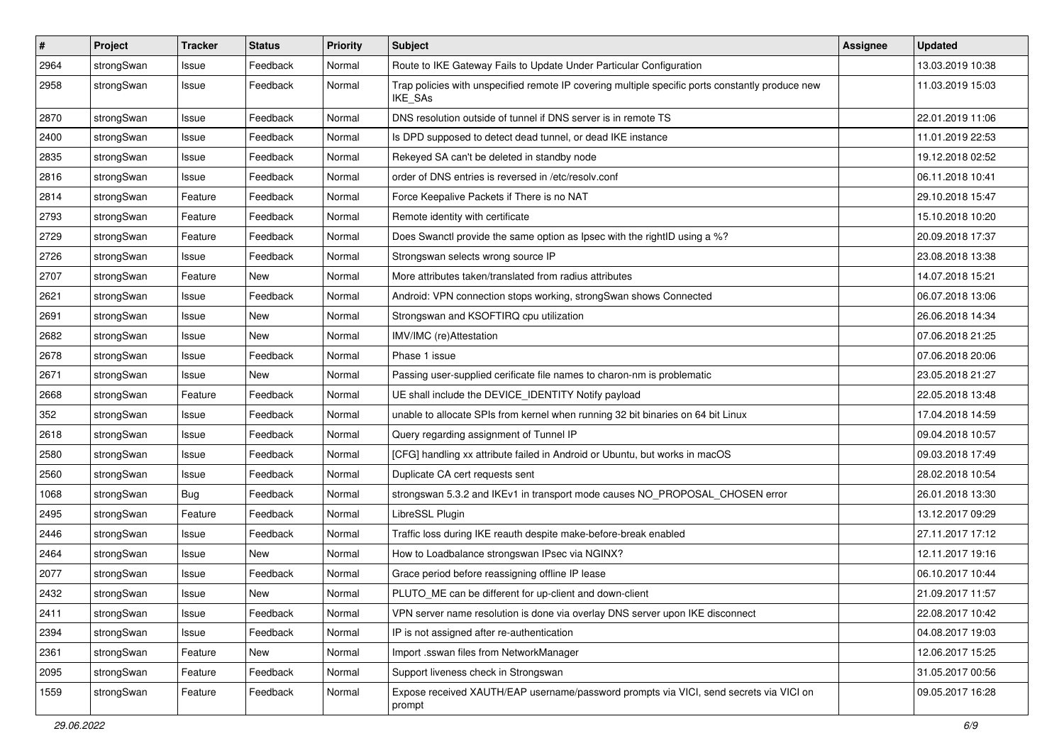| $\pmb{\#}$ | Project    | <b>Tracker</b> | <b>Status</b> | <b>Priority</b> | <b>Subject</b>                                                                                              | <b>Assignee</b> | <b>Updated</b>   |
|------------|------------|----------------|---------------|-----------------|-------------------------------------------------------------------------------------------------------------|-----------------|------------------|
| 2964       | strongSwan | Issue          | Feedback      | Normal          | Route to IKE Gateway Fails to Update Under Particular Configuration                                         |                 | 13.03.2019 10:38 |
| 2958       | strongSwan | Issue          | Feedback      | Normal          | Trap policies with unspecified remote IP covering multiple specific ports constantly produce new<br>IKE_SAs |                 | 11.03.2019 15:03 |
| 2870       | strongSwan | Issue          | Feedback      | Normal          | DNS resolution outside of tunnel if DNS server is in remote TS                                              |                 | 22.01.2019 11:06 |
| 2400       | strongSwan | Issue          | Feedback      | Normal          | Is DPD supposed to detect dead tunnel, or dead IKE instance                                                 |                 | 11.01.2019 22:53 |
| 2835       | strongSwan | Issue          | Feedback      | Normal          | Rekeyed SA can't be deleted in standby node                                                                 |                 | 19.12.2018 02:52 |
| 2816       | strongSwan | Issue          | Feedback      | Normal          | order of DNS entries is reversed in /etc/resolv.conf                                                        |                 | 06.11.2018 10:41 |
| 2814       | strongSwan | Feature        | Feedback      | Normal          | Force Keepalive Packets if There is no NAT                                                                  |                 | 29.10.2018 15:47 |
| 2793       | strongSwan | Feature        | Feedback      | Normal          | Remote identity with certificate                                                                            |                 | 15.10.2018 10:20 |
| 2729       | strongSwan | Feature        | Feedback      | Normal          | Does Swanctl provide the same option as Ipsec with the rightID using a %?                                   |                 | 20.09.2018 17:37 |
| 2726       | strongSwan | Issue          | Feedback      | Normal          | Strongswan selects wrong source IP                                                                          |                 | 23.08.2018 13:38 |
| 2707       | strongSwan | Feature        | New           | Normal          | More attributes taken/translated from radius attributes                                                     |                 | 14.07.2018 15:21 |
| 2621       | strongSwan | Issue          | Feedback      | Normal          | Android: VPN connection stops working, strongSwan shows Connected                                           |                 | 06.07.2018 13:06 |
| 2691       | strongSwan | Issue          | New           | Normal          | Strongswan and KSOFTIRQ cpu utilization                                                                     |                 | 26.06.2018 14:34 |
| 2682       | strongSwan | Issue          | New           | Normal          | IMV/IMC (re)Attestation                                                                                     |                 | 07.06.2018 21:25 |
| 2678       | strongSwan | Issue          | Feedback      | Normal          | Phase 1 issue                                                                                               |                 | 07.06.2018 20:06 |
| 2671       | strongSwan | Issue          | New           | Normal          | Passing user-supplied cerificate file names to charon-nm is problematic                                     |                 | 23.05.2018 21:27 |
| 2668       | strongSwan | Feature        | Feedback      | Normal          | UE shall include the DEVICE_IDENTITY Notify payload                                                         |                 | 22.05.2018 13:48 |
| 352        | strongSwan | Issue          | Feedback      | Normal          | unable to allocate SPIs from kernel when running 32 bit binaries on 64 bit Linux                            |                 | 17.04.2018 14:59 |
| 2618       | strongSwan | Issue          | Feedback      | Normal          | Query regarding assignment of Tunnel IP                                                                     |                 | 09.04.2018 10:57 |
| 2580       | strongSwan | Issue          | Feedback      | Normal          | [CFG] handling xx attribute failed in Android or Ubuntu, but works in macOS                                 |                 | 09.03.2018 17:49 |
| 2560       | strongSwan | Issue          | Feedback      | Normal          | Duplicate CA cert requests sent                                                                             |                 | 28.02.2018 10:54 |
| 1068       | strongSwan | Bug            | Feedback      | Normal          | strongswan 5.3.2 and IKEv1 in transport mode causes NO_PROPOSAL_CHOSEN error                                |                 | 26.01.2018 13:30 |
| 2495       | strongSwan | Feature        | Feedback      | Normal          | LibreSSL Plugin                                                                                             |                 | 13.12.2017 09:29 |
| 2446       | strongSwan | Issue          | Feedback      | Normal          | Traffic loss during IKE reauth despite make-before-break enabled                                            |                 | 27.11.2017 17:12 |
| 2464       | strongSwan | Issue          | <b>New</b>    | Normal          | How to Loadbalance strongswan IPsec via NGINX?                                                              |                 | 12.11.2017 19:16 |
| 2077       | strongSwan | Issue          | Feedback      | Normal          | Grace period before reassigning offline IP lease                                                            |                 | 06.10.2017 10:44 |
| 2432       | strongSwan | Issue          | New           | Normal          | PLUTO_ME can be different for up-client and down-client                                                     |                 | 21.09.2017 11:57 |
| 2411       | strongSwan | Issue          | Feedback      | Normal          | VPN server name resolution is done via overlay DNS server upon IKE disconnect                               |                 | 22.08.2017 10:42 |
| 2394       | strongSwan | Issue          | Feedback      | Normal          | IP is not assigned after re-authentication                                                                  |                 | 04.08.2017 19:03 |
| 2361       | strongSwan | Feature        | New           | Normal          | Import .sswan files from NetworkManager                                                                     |                 | 12.06.2017 15:25 |
| 2095       | strongSwan | Feature        | Feedback      | Normal          | Support liveness check in Strongswan                                                                        |                 | 31.05.2017 00:56 |
| 1559       | strongSwan | Feature        | Feedback      | Normal          | Expose received XAUTH/EAP username/password prompts via VICI, send secrets via VICI on<br>prompt            |                 | 09.05.2017 16:28 |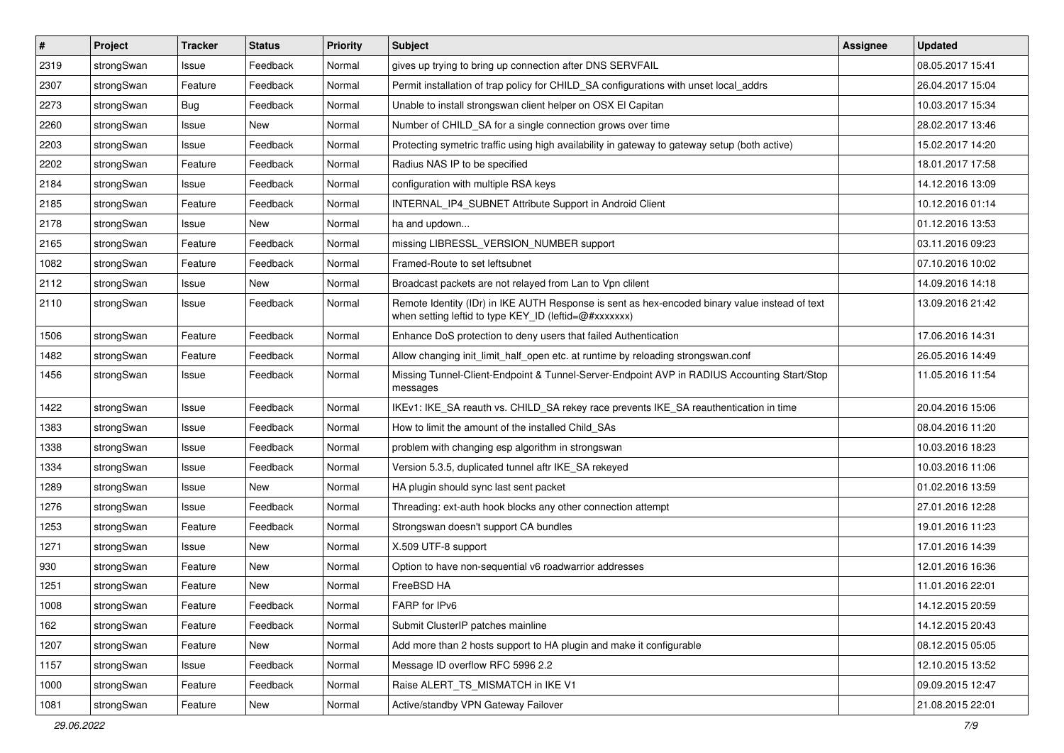| $\sharp$ | Project    | <b>Tracker</b> | <b>Status</b> | <b>Priority</b> | <b>Subject</b>                                                                                                                                          | Assignee | <b>Updated</b>   |
|----------|------------|----------------|---------------|-----------------|---------------------------------------------------------------------------------------------------------------------------------------------------------|----------|------------------|
| 2319     | strongSwan | Issue          | Feedback      | Normal          | gives up trying to bring up connection after DNS SERVFAIL                                                                                               |          | 08.05.2017 15:41 |
| 2307     | strongSwan | Feature        | Feedback      | Normal          | Permit installation of trap policy for CHILD_SA configurations with unset local_addrs                                                                   |          | 26.04.2017 15:04 |
| 2273     | strongSwan | Bug            | Feedback      | Normal          | Unable to install strongswan client helper on OSX El Capitan                                                                                            |          | 10.03.2017 15:34 |
| 2260     | strongSwan | Issue          | New           | Normal          | Number of CHILD_SA for a single connection grows over time                                                                                              |          | 28.02.2017 13:46 |
| 2203     | strongSwan | Issue          | Feedback      | Normal          | Protecting symetric traffic using high availability in gateway to gateway setup (both active)                                                           |          | 15.02.2017 14:20 |
| 2202     | strongSwan | Feature        | Feedback      | Normal          | Radius NAS IP to be specified                                                                                                                           |          | 18.01.2017 17:58 |
| 2184     | strongSwan | Issue          | Feedback      | Normal          | configuration with multiple RSA keys                                                                                                                    |          | 14.12.2016 13:09 |
| 2185     | strongSwan | Feature        | Feedback      | Normal          | INTERNAL_IP4_SUBNET Attribute Support in Android Client                                                                                                 |          | 10.12.2016 01:14 |
| 2178     | strongSwan | Issue          | <b>New</b>    | Normal          | ha and updown                                                                                                                                           |          | 01.12.2016 13:53 |
| 2165     | strongSwan | Feature        | Feedback      | Normal          | missing LIBRESSL_VERSION_NUMBER support                                                                                                                 |          | 03.11.2016 09:23 |
| 1082     | strongSwan | Feature        | Feedback      | Normal          | Framed-Route to set leftsubnet                                                                                                                          |          | 07.10.2016 10:02 |
| 2112     | strongSwan | Issue          | New           | Normal          | Broadcast packets are not relayed from Lan to Vpn clilent                                                                                               |          | 14.09.2016 14:18 |
| 2110     | strongSwan | Issue          | Feedback      | Normal          | Remote Identity (IDr) in IKE AUTH Response is sent as hex-encoded binary value instead of text<br>when setting leftid to type KEY_ID (leftid=@#xxxxxxx) |          | 13.09.2016 21:42 |
| 1506     | strongSwan | Feature        | Feedback      | Normal          | Enhance DoS protection to deny users that failed Authentication                                                                                         |          | 17.06.2016 14:31 |
| 1482     | strongSwan | Feature        | Feedback      | Normal          | Allow changing init limit half open etc. at runtime by reloading strongswan.conf                                                                        |          | 26.05.2016 14:49 |
| 1456     | strongSwan | Issue          | Feedback      | Normal          | Missing Tunnel-Client-Endpoint & Tunnel-Server-Endpoint AVP in RADIUS Accounting Start/Stop<br>messages                                                 |          | 11.05.2016 11:54 |
| 1422     | strongSwan | Issue          | Feedback      | Normal          | IKEv1: IKE_SA reauth vs. CHILD_SA rekey race prevents IKE_SA reauthentication in time                                                                   |          | 20.04.2016 15:06 |
| 1383     | strongSwan | Issue          | Feedback      | Normal          | How to limit the amount of the installed Child SAs                                                                                                      |          | 08.04.2016 11:20 |
| 1338     | strongSwan | Issue          | Feedback      | Normal          | problem with changing esp algorithm in strongswan                                                                                                       |          | 10.03.2016 18:23 |
| 1334     | strongSwan | Issue          | Feedback      | Normal          | Version 5.3.5, duplicated tunnel aftr IKE_SA rekeyed                                                                                                    |          | 10.03.2016 11:06 |
| 1289     | strongSwan | Issue          | New           | Normal          | HA plugin should sync last sent packet                                                                                                                  |          | 01.02.2016 13:59 |
| 1276     | strongSwan | Issue          | Feedback      | Normal          | Threading: ext-auth hook blocks any other connection attempt                                                                                            |          | 27.01.2016 12:28 |
| 1253     | strongSwan | Feature        | Feedback      | Normal          | Strongswan doesn't support CA bundles                                                                                                                   |          | 19.01.2016 11:23 |
| 1271     | strongSwan | Issue          | <b>New</b>    | Normal          | X.509 UTF-8 support                                                                                                                                     |          | 17.01.2016 14:39 |
| 930      | strongSwan | Feature        | New           | Normal          | Option to have non-sequential v6 roadwarrior addresses                                                                                                  |          | 12.01.2016 16:36 |
| 1251     | strongSwan | Feature        | New           | Normal          | FreeBSD HA                                                                                                                                              |          | 11.01.2016 22:01 |
| 1008     | strongSwan | Feature        | Feedback      | Normal          | FARP for IPv6                                                                                                                                           |          | 14.12.2015 20:59 |
| 162      | strongSwan | Feature        | Feedback      | Normal          | Submit ClusterIP patches mainline                                                                                                                       |          | 14.12.2015 20:43 |
| 1207     | strongSwan | Feature        | New           | Normal          | Add more than 2 hosts support to HA plugin and make it configurable                                                                                     |          | 08.12.2015 05:05 |
| 1157     | strongSwan | Issue          | Feedback      | Normal          | Message ID overflow RFC 5996 2.2                                                                                                                        |          | 12.10.2015 13:52 |
| 1000     | strongSwan | Feature        | Feedback      | Normal          | Raise ALERT_TS_MISMATCH in IKE V1                                                                                                                       |          | 09.09.2015 12:47 |
| 1081     | strongSwan | Feature        | New           | Normal          | Active/standby VPN Gateway Failover                                                                                                                     |          | 21.08.2015 22:01 |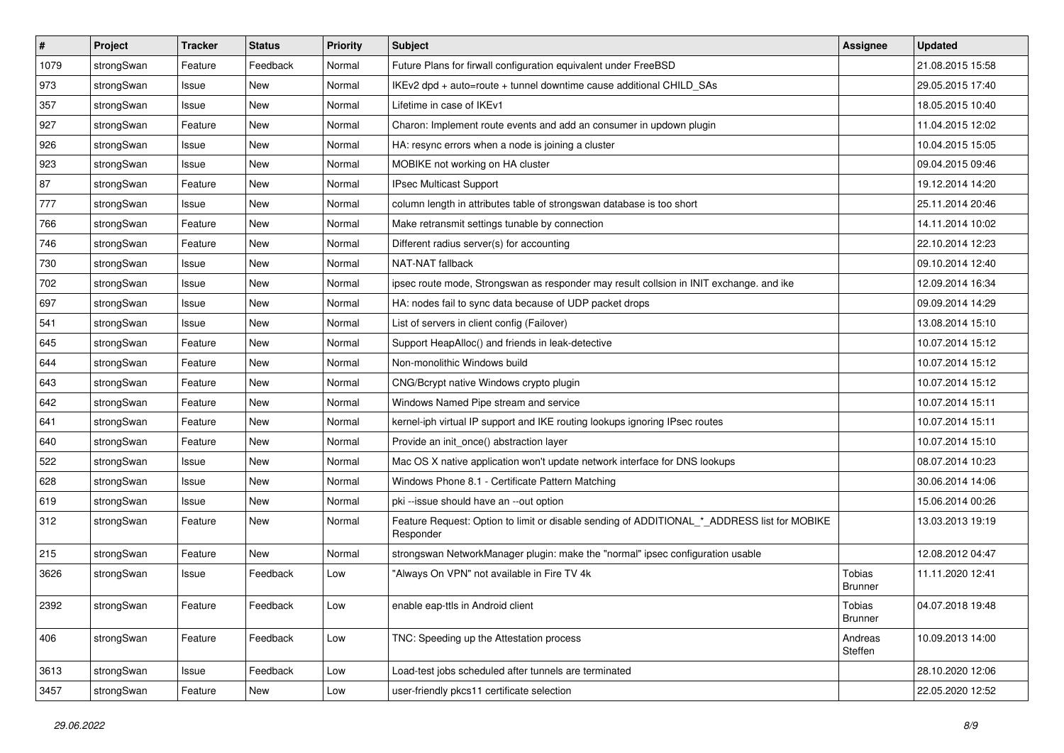| $\sharp$ | Project    | <b>Tracker</b> | <b>Status</b> | <b>Priority</b> | <b>Subject</b>                                                                                           | Assignee                 | <b>Updated</b>   |
|----------|------------|----------------|---------------|-----------------|----------------------------------------------------------------------------------------------------------|--------------------------|------------------|
| 1079     | strongSwan | Feature        | Feedback      | Normal          | Future Plans for firwall configuration equivalent under FreeBSD                                          |                          | 21.08.2015 15:58 |
| 973      | strongSwan | Issue          | <b>New</b>    | Normal          | IKEv2 dpd + auto=route + tunnel downtime cause additional CHILD_SAs                                      |                          | 29.05.2015 17:40 |
| 357      | strongSwan | Issue          | New           | Normal          | Lifetime in case of IKEv1                                                                                |                          | 18.05.2015 10:40 |
| 927      | strongSwan | Feature        | New           | Normal          | Charon: Implement route events and add an consumer in updown plugin                                      |                          | 11.04.2015 12:02 |
| 926      | strongSwan | Issue          | <b>New</b>    | Normal          | HA: resync errors when a node is joining a cluster                                                       |                          | 10.04.2015 15:05 |
| 923      | strongSwan | Issue          | New           | Normal          | MOBIKE not working on HA cluster                                                                         |                          | 09.04.2015 09:46 |
| 87       | strongSwan | Feature        | New           | Normal          | <b>IPsec Multicast Support</b>                                                                           |                          | 19.12.2014 14:20 |
| 777      | strongSwan | Issue          | <b>New</b>    | Normal          | column length in attributes table of strongswan database is too short                                    |                          | 25.11.2014 20:46 |
| 766      | strongSwan | Feature        | New           | Normal          | Make retransmit settings tunable by connection                                                           |                          | 14.11.2014 10:02 |
| 746      | strongSwan | Feature        | New           | Normal          | Different radius server(s) for accounting                                                                |                          | 22.10.2014 12:23 |
| 730      | strongSwan | Issue          | New           | Normal          | NAT-NAT fallback                                                                                         |                          | 09.10.2014 12:40 |
| 702      | strongSwan | Issue          | New           | Normal          | ipsec route mode, Strongswan as responder may result collsion in INIT exchange. and ike                  |                          | 12.09.2014 16:34 |
| 697      | strongSwan | Issue          | <b>New</b>    | Normal          | HA: nodes fail to sync data because of UDP packet drops                                                  |                          | 09.09.2014 14:29 |
| 541      | strongSwan | Issue          | New           | Normal          | List of servers in client config (Failover)                                                              |                          | 13.08.2014 15:10 |
| 645      | strongSwan | Feature        | <b>New</b>    | Normal          | Support HeapAlloc() and friends in leak-detective                                                        |                          | 10.07.2014 15:12 |
| 644      | strongSwan | Feature        | New           | Normal          | Non-monolithic Windows build                                                                             |                          | 10.07.2014 15:12 |
| 643      | strongSwan | Feature        | New           | Normal          | CNG/Bcrypt native Windows crypto plugin                                                                  |                          | 10.07.2014 15:12 |
| 642      | strongSwan | Feature        | <b>New</b>    | Normal          | Windows Named Pipe stream and service                                                                    |                          | 10.07.2014 15:11 |
| 641      | strongSwan | Feature        | New           | Normal          | kernel-iph virtual IP support and IKE routing lookups ignoring IPsec routes                              |                          | 10.07.2014 15:11 |
| 640      | strongSwan | Feature        | New           | Normal          | Provide an init_once() abstraction layer                                                                 |                          | 10.07.2014 15:10 |
| 522      | strongSwan | Issue          | New           | Normal          | Mac OS X native application won't update network interface for DNS lookups                               |                          | 08.07.2014 10:23 |
| 628      | strongSwan | Issue          | New           | Normal          | Windows Phone 8.1 - Certificate Pattern Matching                                                         |                          | 30.06.2014 14:06 |
| 619      | strongSwan | Issue          | <b>New</b>    | Normal          | pki --issue should have an --out option                                                                  |                          | 15.06.2014 00:26 |
| 312      | strongSwan | Feature        | New           | Normal          | Feature Request: Option to limit or disable sending of ADDITIONAL_*_ADDRESS list for MOBIKE<br>Responder |                          | 13.03.2013 19:19 |
| 215      | strongSwan | Feature        | New           | Normal          | strongswan NetworkManager plugin: make the "normal" ipsec configuration usable                           |                          | 12.08.2012 04:47 |
| 3626     | strongSwan | Issue          | Feedback      | Low             | "Always On VPN" not available in Fire TV 4k                                                              | Tobias<br>Brunner        | 11.11.2020 12:41 |
| 2392     | strongSwan | Feature        | Feedback      | Low             | enable eap-ttls in Android client                                                                        | Tobias<br><b>Brunner</b> | 04.07.2018 19:48 |
| 406      | strongSwan | Feature        | Feedback      | Low             | TNC: Speeding up the Attestation process                                                                 | Andreas<br>Steffen       | 10.09.2013 14:00 |
| 3613     | strongSwan | Issue          | Feedback      | Low             | Load-test jobs scheduled after tunnels are terminated                                                    |                          | 28.10.2020 12:06 |
| 3457     | strongSwan | Feature        | New           | Low             | user-friendly pkcs11 certificate selection                                                               |                          | 22.05.2020 12:52 |